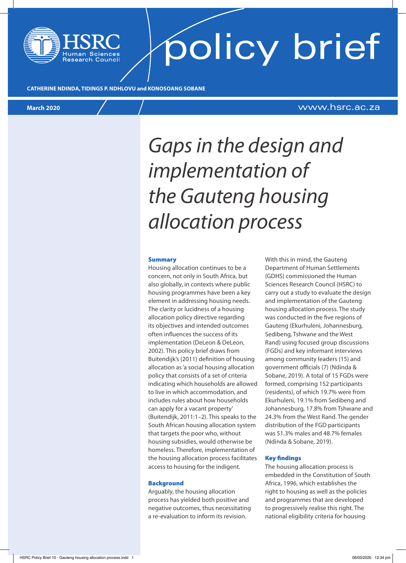# policy brief

**CATHERINE NDINDA, TIDINGS P. NDHLOVU and KONOSOANG SOBANE**

### **March 2020** www.hsrc.ac.za

## *Gaps in the design and implementation of the Gauteng housing allocation process*

#### Summary

Housing allocation continues to be a concern, not only in South Africa, but also globally, in contexts where public housing programmes have been a key element in addressing housing needs. The clarity or lucidness of a housing allocation policy directive regarding its objectives and intended outcomes often influences the success of its implementation (DeLeon & DeLeon, 2002). This policy brief draws from Buitendijk's (2011) definition of housing allocation as 'a social housing allocation policy that consists of a set of criteria indicating which households are allowed to live in which accommodation, and includes rules about how households can apply for a vacant property' (Buitendijk, 2011:1–2). This speaks to the South African housing allocation system that targets the poor who, without housing subsidies, would otherwise be homeless. Therefore, implementation of the housing allocation process facilitates access to housing for the indigent.

#### **Background**

Arguably, the housing allocation process has yielded both positive and negative outcomes, thus necessitating a re-evaluation to inform its revision.

With this in mind, the Gauteng Department of Human Settlements (GDHS) commissioned the Human Sciences Research Council (HSRC) to carry out a study to evaluate the design and implementation of the Gauteng housing allocation process. The study was conducted in the five regions of Gauteng (Ekurhuleni, Johannesburg, Sedibeng, Tshwane and the West Rand) using focused group discussions (FGDs) and key informant interviews among community leaders (15) and government officials (7) (Ndinda & Sobane, 2019). A total of 15 FGDs were formed, comprising 152 participants (residents), of which 19.7% were from Ekurhuleni, 19.1% from Sedibeng and Johannesburg, 17.8% from Tshwane and 24.3% from the West Rand. The gender distribution of the FGD participants was 51.3% males and 48.7% females (Ndinda & Sobane, 2019).

#### Key findings

The housing allocation process is embedded in the Constitution of South Africa, 1996, which establishes the right to housing as well as the policies and programmes that are developed to progressively realise this right. The national eligibility criteria for housing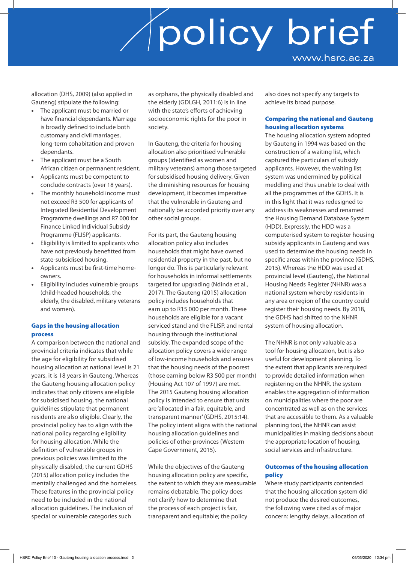allocation (DHS, 2009) (also applied in Gauteng) stipulate the following:

- The applicant must be married or have financial dependants. Marriage is broadly defined to include both customary and civil marriages, long-term cohabitation and proven dependants.
- The applicant must be a South African citizen or permanent resident.
- Applicants must be competent to conclude contracts (over 18 years).
- The monthly household income must not exceed R3 500 for applicants of Integrated Residential Development Programme dwellings and R7 000 for Finance Linked Individual Subsidy Programme (FLISP) applicants.
- Eligibility is limited to applicants who have not previously benefitted from state-subsidised housing.
- Applicants must be first-time homeowners.
- Eligibility includes vulnerable groups (child-headed households, the elderly, the disabled, military veterans and women).

### Gaps in the housing allocation process

A comparison between the national and provincial criteria indicates that while the age for eligibility for subsidised housing allocation at national level is 21 years, it is 18 years in Gauteng. Whereas the Gauteng housing allocation policy indicates that only citizens are eligible for subsidised housing, the national guidelines stipulate that permanent residents are also eligible. Clearly, the provincial policy has to align with the national policy regarding eligibility for housing allocation. While the definition of vulnerable groups in previous policies was limited to the physically disabled, the current GDHS (2015) allocation policy includes the mentally challenged and the homeless. These features in the provincial policy need to be included in the national allocation guidelines. The inclusion of special or vulnerable categories such

as orphans, the physically disabled and the elderly (GDLGH, 2011:6) is in line with the state's efforts of achieving socioeconomic rights for the poor in society.

In Gauteng, the criteria for housing allocation also prioritised vulnerable groups (identified as women and military veterans) among those targeted for subsidised housing delivery. Given the diminishing resources for housing development, it becomes imperative that the vulnerable in Gauteng and nationally be accorded priority over any other social groups.

For its part, the Gauteng housing allocation policy also includes households that might have owned residential property in the past, but no longer do. This is particularly relevant for households in informal settlements targeted for upgrading (Ndinda et al., 2017). The Gauteng (2015) allocation policy includes households that earn up to R15 000 per month. These households are eligible for a vacant serviced stand and the FLISP, and rental housing through the institutional subsidy. The expanded scope of the allocation policy covers a wide range of low-income households and ensures that the housing needs of the poorest (those earning below R3 500 per month) (Housing Act 107 of 1997) are met. The 2015 Gauteng housing allocation policy is intended to ensure that units are 'allocated in a fair, equitable, and transparent manner' (GDHS, 2015:14). The policy intent aligns with the national housing allocation guidelines and policies of other provinces (Western Cape Government, 2015).

While the objectives of the Gauteng housing allocation policy are specific, the extent to which they are measurable remains debatable. The policy does not clarify how to determine that the process of each project is fair, transparent and equitable; the policy

also does not specify any targets to achieve its broad purpose.

### Comparing the national and Gauteng housing allocation systems

The housing allocation system adopted by Gauteng in 1994 was based on the construction of a waiting list, which captured the particulars of subsidy applicants. However, the waiting list system was undermined by political meddling and thus unable to deal with all the programmes of the GDHS. It is in this light that it was redesigned to address its weaknesses and renamed the Housing Demand Database System (HDD). Expressly, the HDD was a computerised system to register housing subsidy applicants in Gauteng and was used to determine the housing needs in specific areas within the province (GDHS, 2015). Whereas the HDD was used at provincial level (Gauteng), the National Housing Needs Register (NHNR) was a national system whereby residents in any area or region of the country could register their housing needs. By 2018, the GDHS had shifted to the NHNR system of housing allocation.

The NHNR is not only valuable as a tool for housing allocation, but is also useful for development planning. To the extent that applicants are required to provide detailed information when registering on the NHNR, the system enables the aggregation of information on municipalities where the poor are concentrated as well as on the services that are accessible to them. As a valuable planning tool, the NHNR can assist municipalities in making decisions about the appropriate location of housing, social services and infrastructure.

#### Outcomes of the housing allocation policy

Where study participants contended that the housing allocation system did not produce the desired outcomes, the following were cited as of major concern: lengthy delays, allocation of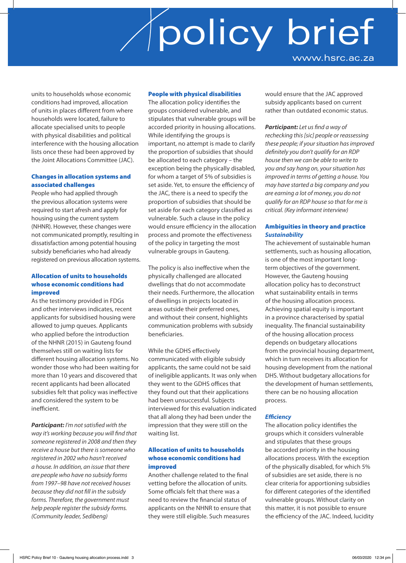units to households whose economic conditions had improved, allocation of units in places different from where households were located, failure to allocate specialised units to people with physical disabilities and political interference with the housing allocation lists once these had been approved by the Joint Allocations Committee (JAC).

#### Changes in allocation systems and associated challenges

People who had applied through the previous allocation systems were required to start afresh and apply for housing using the current system (NHNR). However, these changes were not communicated promptly, resulting in dissatisfaction among potential housing subsidy beneficiaries who had already registered on previous allocation systems.

#### Allocation of units to households whose economic conditions had improved

As the testimony provided in FDGs and other interviews indicates, recent applicants for subsidised housing were allowed to jump queues. Applicants who applied before the introduction of the NHNR (2015) in Gauteng found themselves still on waiting lists for different housing allocation systems. No wonder those who had been waiting for more than 10 years and discovered that recent applicants had been allocated subsidies felt that policy was ineffective and considered the system to be inefficient.

*Participant: I'm not satisfied with the way it's working because you will find that someone registered in 2008 and then they receive a house but there is someone who registered in 2002 who hasn't received a house. In addition, an issue that there are people who have no subsidy forms from 1997–98 have not received houses because they did not fill in the subsidy forms. Therefore, the government must help people register the subsidy forms. (Community leader, Sedibeng)*

### People with physical disabilities

The allocation policy identifies the groups considered vulnerable, and stipulates that vulnerable groups will be accorded priority in housing allocations. While identifying the groups is important, no attempt is made to clarify the proportion of subsidies that should be allocated to each category – the exception being the physically disabled, for whom a target of 5% of subsidies is set aside. Yet, to ensure the efficiency of the JAC, there is a need to specify the proportion of subsidies that should be set aside for each category classified as vulnerable. Such a clause in the policy would ensure efficiency in the allocation process and promote the effectiveness of the policy in targeting the most vulnerable groups in Gauteng.

The policy is also ineffective when the physically challenged are allocated dwellings that do not accommodate their needs. Furthermore, the allocation of dwellings in projects located in areas outside their preferred ones, and without their consent, highlights communication problems with subsidy beneficiaries.

While the GDHS effectively communicated with eligible subsidy applicants, the same could not be said of ineligible applicants. It was only when they went to the GDHS offices that they found out that their applications had been unsuccessful. Subjects interviewed for this evaluation indicated that all along they had been under the impression that they were still on the waiting list.

### Allocation of units to households whose economic conditions had improved

Another challenge related to the final vetting before the allocation of units. Some officials felt that there was a need to review the financial status of applicants on the NHNR to ensure that they were still eligible. Such measures

would ensure that the JAC approved subsidy applicants based on current rather than outdated economic status.

*Participant: Let us find a way of rechecking this [sic] people or reassessing these people; if your situation has improved definitely you don't qualify for an RDP house then we can be able to write to you and say hang on, your situation has improved in terms of getting a house. You may have started a big company and you are earning a lot of money, you do not qualify for an RDP house so that for me is critical. (Key informant interview)*

### Ambiguities in theory and practice *Sustainability*

The achievement of sustainable human settlements, such as housing allocation, is one of the most important longterm objectives of the government. However, the Gauteng housing allocation policy has to deconstruct what sustainability entails in terms of the housing allocation process. Achieving spatial equity is important in a province characterised by spatial inequality. The financial sustainability of the housing allocation process depends on budgetary allocations from the provincial housing department, which in turn receives its allocation for housing development from the national DHS. Without budgetary allocations for the development of human settlements, there can be no housing allocation process.

#### *Efficiency*

The allocation policy identifies the groups which it considers vulnerable and stipulates that these groups be accorded priority in the housing allocations process. With the exception of the physically disabled, for which 5% of subsidies are set aside, there is no clear criteria for apportioning subsidies for different categories of the identified vulnerable groups. Without clarity on this matter, it is not possible to ensure the efficiency of the JAC. Indeed, lucidity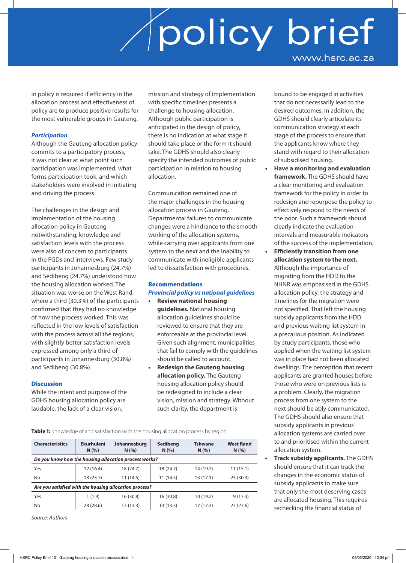in policy is required if efficiency in the allocation process and effectiveness of policy are to produce positive results for the most vulnerable groups in Gauteng.

### *Participation*

Although the Gauteng allocation policy commits to a participatory process, it was not clear at what point such participation was implemented, what forms participation took, and which stakeholders were involved in initiating and driving the process.

The challenges in the design and implementation of the housing allocation policy in Gauteng notwithstanding, knowledge and satisfaction levels with the process were also of concern to participants in the FGDs and interviews. Few study participants in Johannesburg (24.7%) and Sedibeng (24.7%) understood how the housing allocation worked. The situation was worse on the West Rand, where a third (30.3%) of the participants confirmed that they had no knowledge of how the process worked. This was reflected in the low levels of satisfaction with the process across all the regions, with slightly better satisfaction levels expressed among only a third of participants in Johannesburg (30.8%) and Sedibeng (30.8%).

#### **Discussion**

While the intent and purpose of the GDHS housing allocation policy are laudable, the lack of a clear vision,

mission and strategy of implementation with specific timelines presents a challenge to housing allocation. Although public participation is anticipated in the design of policy, there is no indication at what stage it should take place or the form it should take. The GDHS should also clearly specify the intended outcomes of public participation in relation to housing allocation.

Communication remained one of the major challenges in the housing allocation process in Gauteng. Departmental failures to communicate changes were a hindrance to the smooth working of the allocation systems, while carrying over applicants from one system to the next and the inability to communicate with ineligible applicants led to dissatisfaction with procedures.

#### Recommendations

#### *Provincial policy vs national guidelines*

- **Review national housing guidelines.** National housing allocation guidelines should be reviewed to ensure that they are enforceable at the provincial level. Given such alignment, municipalities that fail to comply with the guidelines should be called to account.
- **Redesign the Gauteng housing allocation policy.** The Gauteng housing allocation policy should be redesigned to include a clear vision, mission and strategy. Without such clarity, the department is

**Table 1:** Knowledge of and satisfaction with the housing allocation process by region

| <b>Characteristics</b>                                 | <b>Ekurhuleni</b><br>N(% ) | Johannesburg<br>N(% ) | Sedibeng<br>N(% ) | <b>Tshwane</b><br>N(% ) | <b>West Rand</b><br>N(% ) |
|--------------------------------------------------------|----------------------------|-----------------------|-------------------|-------------------------|---------------------------|
| Do you know how the housing allocation process works?  |                            |                       |                   |                         |                           |
| Yes                                                    | 12 (16.4)                  | 18 (24.7)             | 18 (24.7)         | 14 (19.2)               | 11(15.1)                  |
| No                                                     | 18 (23.7)                  | 11(14.5)              | 11(14.5)          | 13 (17.1)               | 23(30.3)                  |
| Are you satisfied with the housing allocation process? |                            |                       |                   |                         |                           |
| Yes                                                    | 1(1.9)                     | 16(30.8)              | 16 (30.8)         | 10(19.2)                | 9(17.3)                   |
| No                                                     | 28 (28.6)                  | 13(13.3)              | 13 (13.3)         | 17 (17.3)               | 27(27.6)                  |

*Source: Authors*

### desired outcomes. In addition, the GDHS should clearly articulate its communication strategy at each stage of the process to ensure that the applicants know where they stand with regard to their allocation of subsidised housing. • **Have a monitoring and evaluation**

bound to be engaged in activities that do not necessarily lead to the

- **framework.** The GDHS should have a clear monitoring and evaluation framework for the policy in order to redesign and repurpose the policy to effectively respond to the needs of the poor. Such a framework should clearly indicate the evaluation intervals and measurable indicators of the success of the implementation.
- **Efficiently transition from one allocation system to the next.** Although the importance of migrating from the HDD to the NHNR was emphasised in the GDHS allocation policy, the strategy and timelines for the migration were not specified. That left the housing subsidy applicants from the HDD and previous waiting list system in a precarious position. As indicated by study participants, those who applied when the waiting list system was in place had not been allocated dwellings. The perception that recent applicants are granted houses before those who were on previous lists is a problem. Clearly, the migration process from one system to the next should be ably communicated. The GDHS should also ensure that subsidy applicants in previous allocation systems are carried over to and prioritised within the current allocation system.
- **Track subsidy applicants.** The GDHS should ensure that it can track the changes in the economic status of subsidy applicants to make sure that only the most deserving cases are allocated housing. This requires rechecking the financial status of